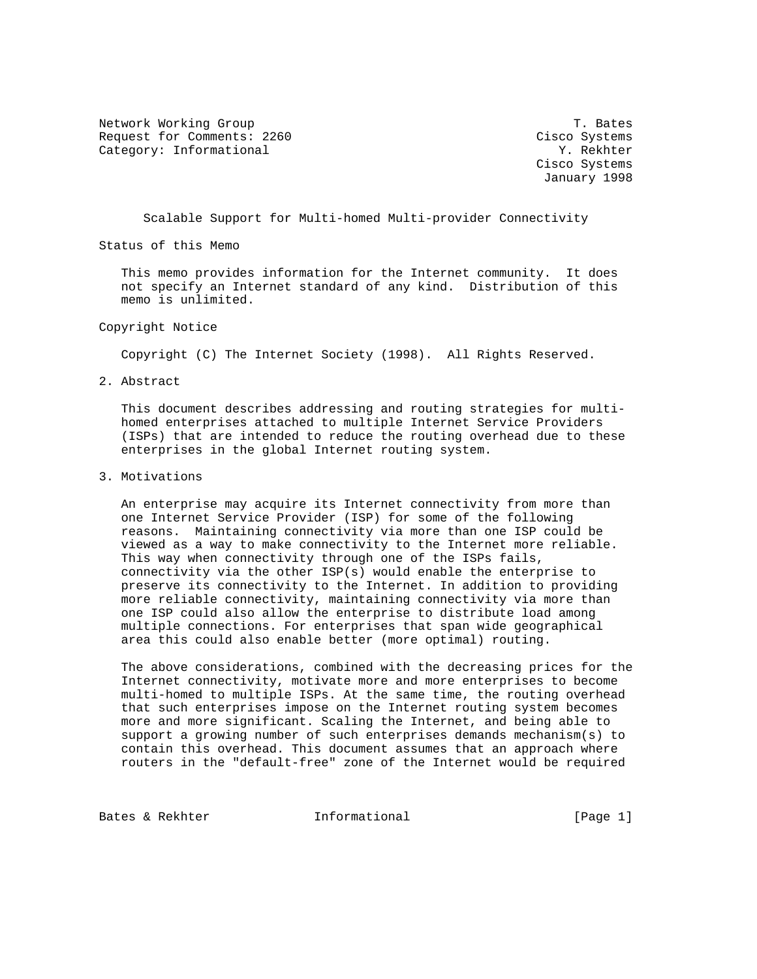Network Working Group T. Bates Request for Comments: 2260 Cisco Systems Category: Informational  $Y.$  Rekhter

 Cisco Systems January 1998

Scalable Support for Multi-homed Multi-provider Connectivity

Status of this Memo

 This memo provides information for the Internet community. It does not specify an Internet standard of any kind. Distribution of this memo is unlimited.

Copyright Notice

Copyright (C) The Internet Society (1998). All Rights Reserved.

2. Abstract

 This document describes addressing and routing strategies for multi homed enterprises attached to multiple Internet Service Providers (ISPs) that are intended to reduce the routing overhead due to these enterprises in the global Internet routing system.

3. Motivations

 An enterprise may acquire its Internet connectivity from more than one Internet Service Provider (ISP) for some of the following reasons. Maintaining connectivity via more than one ISP could be viewed as a way to make connectivity to the Internet more reliable. This way when connectivity through one of the ISPs fails, connectivity via the other ISP(s) would enable the enterprise to preserve its connectivity to the Internet. In addition to providing more reliable connectivity, maintaining connectivity via more than one ISP could also allow the enterprise to distribute load among multiple connections. For enterprises that span wide geographical area this could also enable better (more optimal) routing.

 The above considerations, combined with the decreasing prices for the Internet connectivity, motivate more and more enterprises to become multi-homed to multiple ISPs. At the same time, the routing overhead that such enterprises impose on the Internet routing system becomes more and more significant. Scaling the Internet, and being able to support a growing number of such enterprises demands mechanism(s) to contain this overhead. This document assumes that an approach where routers in the "default-free" zone of the Internet would be required

Bates & Rekhter **Informational** [Page 1]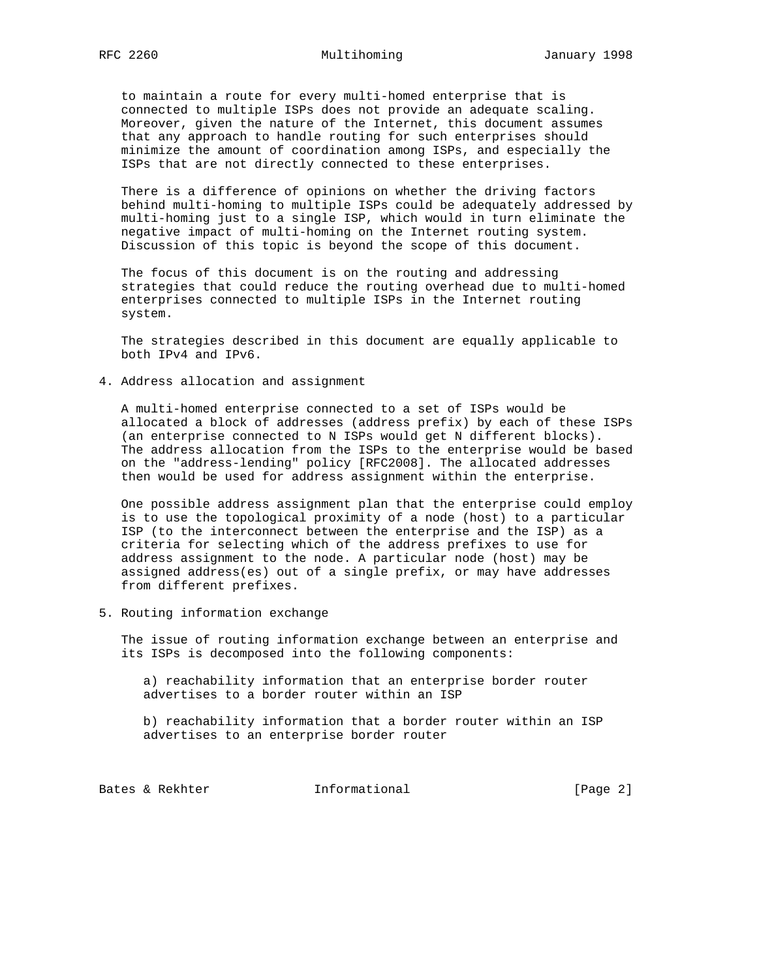to maintain a route for every multi-homed enterprise that is connected to multiple ISPs does not provide an adequate scaling. Moreover, given the nature of the Internet, this document assumes that any approach to handle routing for such enterprises should minimize the amount of coordination among ISPs, and especially the ISPs that are not directly connected to these enterprises.

 There is a difference of opinions on whether the driving factors behind multi-homing to multiple ISPs could be adequately addressed by multi-homing just to a single ISP, which would in turn eliminate the negative impact of multi-homing on the Internet routing system. Discussion of this topic is beyond the scope of this document.

 The focus of this document is on the routing and addressing strategies that could reduce the routing overhead due to multi-homed enterprises connected to multiple ISPs in the Internet routing system.

 The strategies described in this document are equally applicable to both IPv4 and IPv6.

4. Address allocation and assignment

 A multi-homed enterprise connected to a set of ISPs would be allocated a block of addresses (address prefix) by each of these ISPs (an enterprise connected to N ISPs would get N different blocks). The address allocation from the ISPs to the enterprise would be based on the "address-lending" policy [RFC2008]. The allocated addresses then would be used for address assignment within the enterprise.

 One possible address assignment plan that the enterprise could employ is to use the topological proximity of a node (host) to a particular ISP (to the interconnect between the enterprise and the ISP) as a criteria for selecting which of the address prefixes to use for address assignment to the node. A particular node (host) may be assigned address(es) out of a single prefix, or may have addresses from different prefixes.

5. Routing information exchange

 The issue of routing information exchange between an enterprise and its ISPs is decomposed into the following components:

 a) reachability information that an enterprise border router advertises to a border router within an ISP

 b) reachability information that a border router within an ISP advertises to an enterprise border router

Bates & Rekhter **Informational** [Page 2]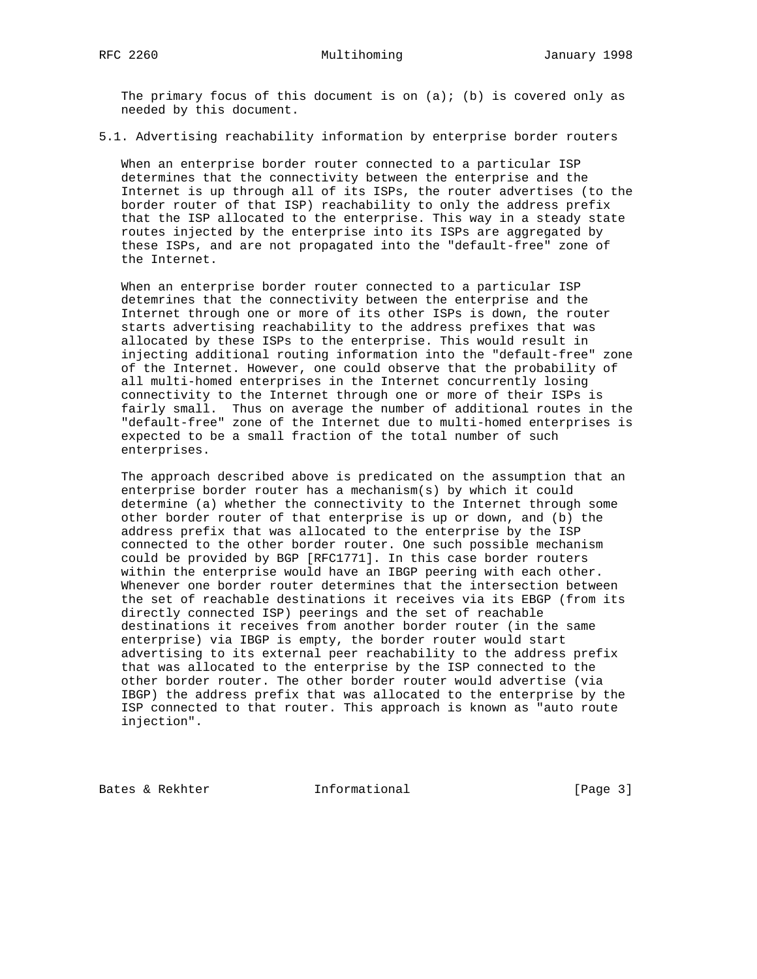The primary focus of this document is on  $(a)$ ; (b) is covered only as needed by this document.

5.1. Advertising reachability information by enterprise border routers

 When an enterprise border router connected to a particular ISP determines that the connectivity between the enterprise and the Internet is up through all of its ISPs, the router advertises (to the border router of that ISP) reachability to only the address prefix that the ISP allocated to the enterprise. This way in a steady state routes injected by the enterprise into its ISPs are aggregated by these ISPs, and are not propagated into the "default-free" zone of the Internet.

 When an enterprise border router connected to a particular ISP detemrines that the connectivity between the enterprise and the Internet through one or more of its other ISPs is down, the router starts advertising reachability to the address prefixes that was allocated by these ISPs to the enterprise. This would result in injecting additional routing information into the "default-free" zone of the Internet. However, one could observe that the probability of all multi-homed enterprises in the Internet concurrently losing connectivity to the Internet through one or more of their ISPs is fairly small. Thus on average the number of additional routes in the "default-free" zone of the Internet due to multi-homed enterprises is expected to be a small fraction of the total number of such enterprises.

 The approach described above is predicated on the assumption that an enterprise border router has a mechanism(s) by which it could determine (a) whether the connectivity to the Internet through some other border router of that enterprise is up or down, and (b) the address prefix that was allocated to the enterprise by the ISP connected to the other border router. One such possible mechanism could be provided by BGP [RFC1771]. In this case border routers within the enterprise would have an IBGP peering with each other. Whenever one border router determines that the intersection between the set of reachable destinations it receives via its EBGP (from its directly connected ISP) peerings and the set of reachable destinations it receives from another border router (in the same enterprise) via IBGP is empty, the border router would start advertising to its external peer reachability to the address prefix that was allocated to the enterprise by the ISP connected to the other border router. The other border router would advertise (via IBGP) the address prefix that was allocated to the enterprise by the ISP connected to that router. This approach is known as "auto route injection".

Bates & Rekhter **Informational** [Page 3]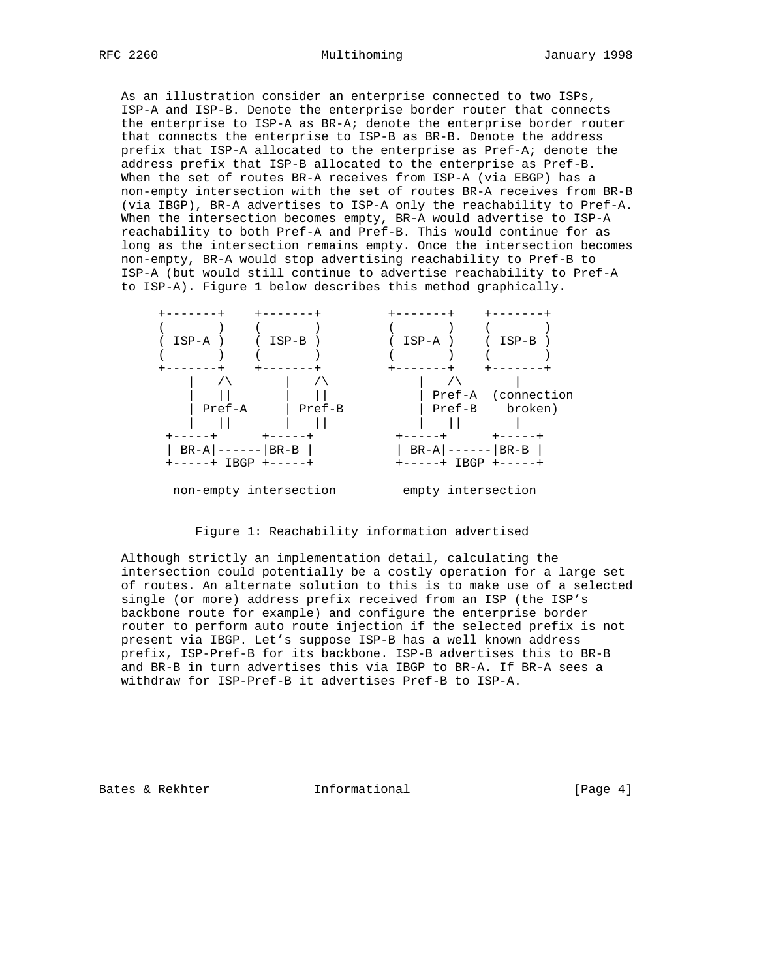As an illustration consider an enterprise connected to two ISPs, ISP-A and ISP-B. Denote the enterprise border router that connects the enterprise to ISP-A as BR-A; denote the enterprise border router that connects the enterprise to ISP-B as BR-B. Denote the address prefix that ISP-A allocated to the enterprise as Pref-A; denote the address prefix that ISP-B allocated to the enterprise as Pref-B. When the set of routes BR-A receives from ISP-A (via EBGP) has a non-empty intersection with the set of routes BR-A receives from BR-B (via IBGP), BR-A advertises to ISP-A only the reachability to Pref-A. When the intersection becomes empty, BR-A would advertise to ISP-A reachability to both Pref-A and Pref-B. This would continue for as long as the intersection remains empty. Once the intersection becomes non-empty, BR-A would stop advertising reachability to Pref-B to ISP-A (but would still continue to advertise reachability to Pref-A to ISP-A). Figure 1 below describes this method graphically.



Figure 1: Reachability information advertised

 Although strictly an implementation detail, calculating the intersection could potentially be a costly operation for a large set of routes. An alternate solution to this is to make use of a selected single (or more) address prefix received from an ISP (the ISP's backbone route for example) and configure the enterprise border router to perform auto route injection if the selected prefix is not present via IBGP. Let's suppose ISP-B has a well known address prefix, ISP-Pref-B for its backbone. ISP-B advertises this to BR-B and BR-B in turn advertises this via IBGP to BR-A. If BR-A sees a withdraw for ISP-Pref-B it advertises Pref-B to ISP-A.

Bates & Rekhter **Informational** [Page 4]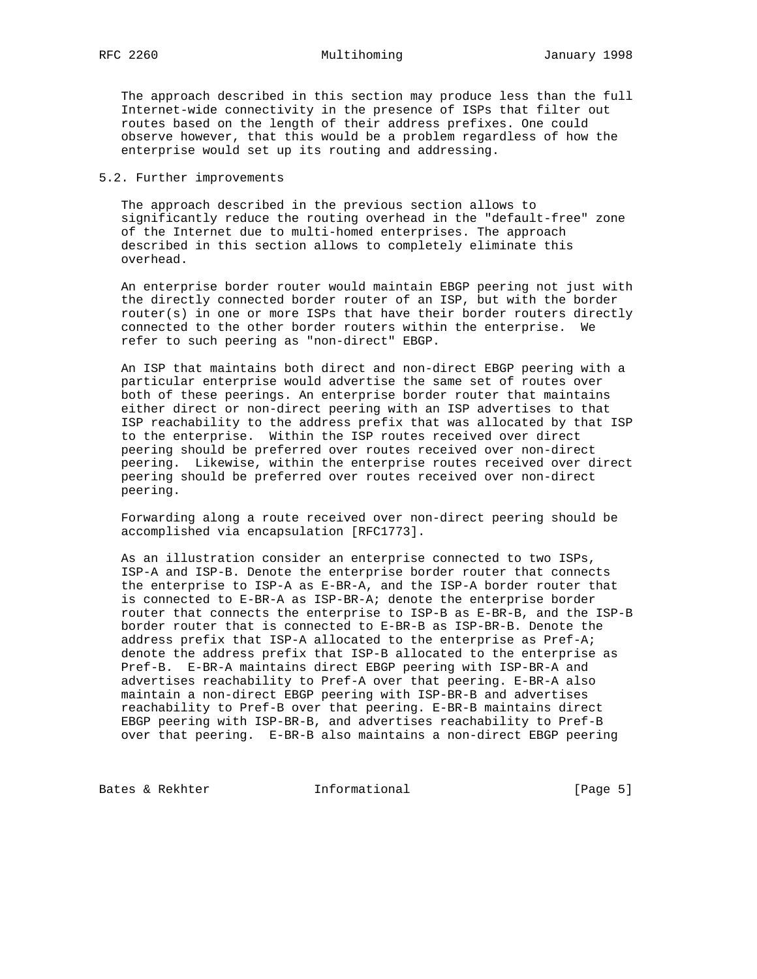The approach described in this section may produce less than the full Internet-wide connectivity in the presence of ISPs that filter out routes based on the length of their address prefixes. One could observe however, that this would be a problem regardless of how the enterprise would set up its routing and addressing.

## 5.2. Further improvements

 The approach described in the previous section allows to significantly reduce the routing overhead in the "default-free" zone of the Internet due to multi-homed enterprises. The approach described in this section allows to completely eliminate this overhead.

 An enterprise border router would maintain EBGP peering not just with the directly connected border router of an ISP, but with the border router(s) in one or more ISPs that have their border routers directly connected to the other border routers within the enterprise. We refer to such peering as "non-direct" EBGP.

 An ISP that maintains both direct and non-direct EBGP peering with a particular enterprise would advertise the same set of routes over both of these peerings. An enterprise border router that maintains either direct or non-direct peering with an ISP advertises to that ISP reachability to the address prefix that was allocated by that ISP to the enterprise. Within the ISP routes received over direct peering should be preferred over routes received over non-direct peering. Likewise, within the enterprise routes received over direct peering should be preferred over routes received over non-direct peering.

 Forwarding along a route received over non-direct peering should be accomplished via encapsulation [RFC1773].

 As an illustration consider an enterprise connected to two ISPs, ISP-A and ISP-B. Denote the enterprise border router that connects the enterprise to ISP-A as E-BR-A, and the ISP-A border router that is connected to E-BR-A as ISP-BR-A; denote the enterprise border router that connects the enterprise to ISP-B as E-BR-B, and the ISP-B border router that is connected to E-BR-B as ISP-BR-B. Denote the address prefix that ISP-A allocated to the enterprise as Pref-A; denote the address prefix that ISP-B allocated to the enterprise as Pref-B. E-BR-A maintains direct EBGP peering with ISP-BR-A and advertises reachability to Pref-A over that peering. E-BR-A also maintain a non-direct EBGP peering with ISP-BR-B and advertises reachability to Pref-B over that peering. E-BR-B maintains direct EBGP peering with ISP-BR-B, and advertises reachability to Pref-B over that peering. E-BR-B also maintains a non-direct EBGP peering

Bates & Rekhter **Informational** [Page 5]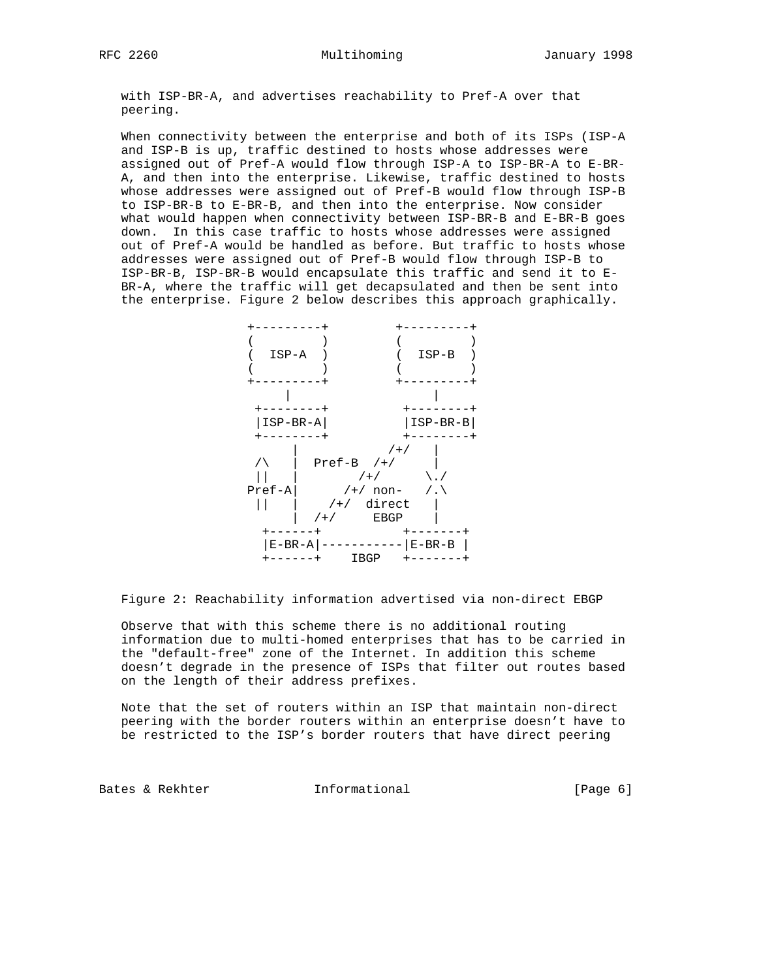with ISP-BR-A, and advertises reachability to Pref-A over that peering.

 When connectivity between the enterprise and both of its ISPs (ISP-A and ISP-B is up, traffic destined to hosts whose addresses were assigned out of Pref-A would flow through ISP-A to ISP-BR-A to E-BR- A, and then into the enterprise. Likewise, traffic destined to hosts whose addresses were assigned out of Pref-B would flow through ISP-B to ISP-BR-B to E-BR-B, and then into the enterprise. Now consider what would happen when connectivity between ISP-BR-B and E-BR-B goes down. In this case traffic to hosts whose addresses were assigned out of Pref-A would be handled as before. But traffic to hosts whose addresses were assigned out of Pref-B would flow through ISP-B to ISP-BR-B, ISP-BR-B would encapsulate this traffic and send it to E- BR-A, where the traffic will get decapsulated and then be sent into the enterprise. Figure 2 below describes this approach graphically.



Figure 2: Reachability information advertised via non-direct EBGP

 Observe that with this scheme there is no additional routing information due to multi-homed enterprises that has to be carried in the "default-free" zone of the Internet. In addition this scheme doesn't degrade in the presence of ISPs that filter out routes based on the length of their address prefixes.

 Note that the set of routers within an ISP that maintain non-direct peering with the border routers within an enterprise doesn't have to be restricted to the ISP's border routers that have direct peering

Bates & Rekhter **Informational** [Page 6]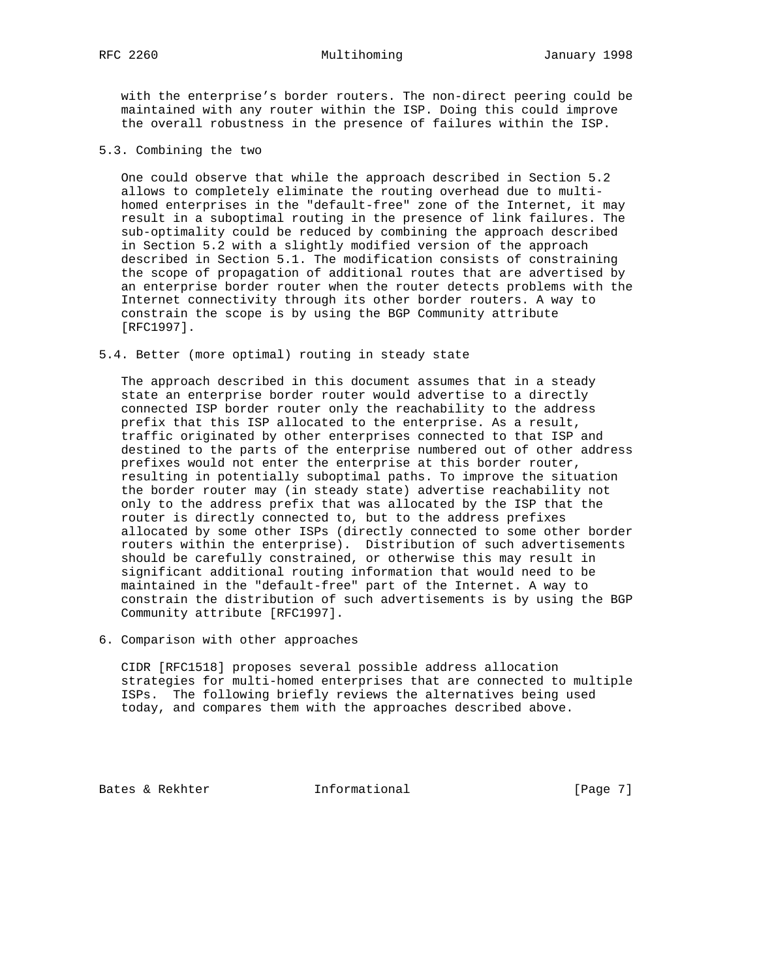with the enterprise's border routers. The non-direct peering could be maintained with any router within the ISP. Doing this could improve the overall robustness in the presence of failures within the ISP.

5.3. Combining the two

 One could observe that while the approach described in Section 5.2 allows to completely eliminate the routing overhead due to multi homed enterprises in the "default-free" zone of the Internet, it may result in a suboptimal routing in the presence of link failures. The sub-optimality could be reduced by combining the approach described in Section 5.2 with a slightly modified version of the approach described in Section 5.1. The modification consists of constraining the scope of propagation of additional routes that are advertised by an enterprise border router when the router detects problems with the Internet connectivity through its other border routers. A way to constrain the scope is by using the BGP Community attribute [RFC1997].

5.4. Better (more optimal) routing in steady state

 The approach described in this document assumes that in a steady state an enterprise border router would advertise to a directly connected ISP border router only the reachability to the address prefix that this ISP allocated to the enterprise. As a result, traffic originated by other enterprises connected to that ISP and destined to the parts of the enterprise numbered out of other address prefixes would not enter the enterprise at this border router, resulting in potentially suboptimal paths. To improve the situation the border router may (in steady state) advertise reachability not only to the address prefix that was allocated by the ISP that the router is directly connected to, but to the address prefixes allocated by some other ISPs (directly connected to some other border routers within the enterprise). Distribution of such advertisements should be carefully constrained, or otherwise this may result in significant additional routing information that would need to be maintained in the "default-free" part of the Internet. A way to constrain the distribution of such advertisements is by using the BGP Community attribute [RFC1997].

6. Comparison with other approaches

 CIDR [RFC1518] proposes several possible address allocation strategies for multi-homed enterprises that are connected to multiple ISPs. The following briefly reviews the alternatives being used today, and compares them with the approaches described above.

Bates & Rekhter **Informational** [Page 7]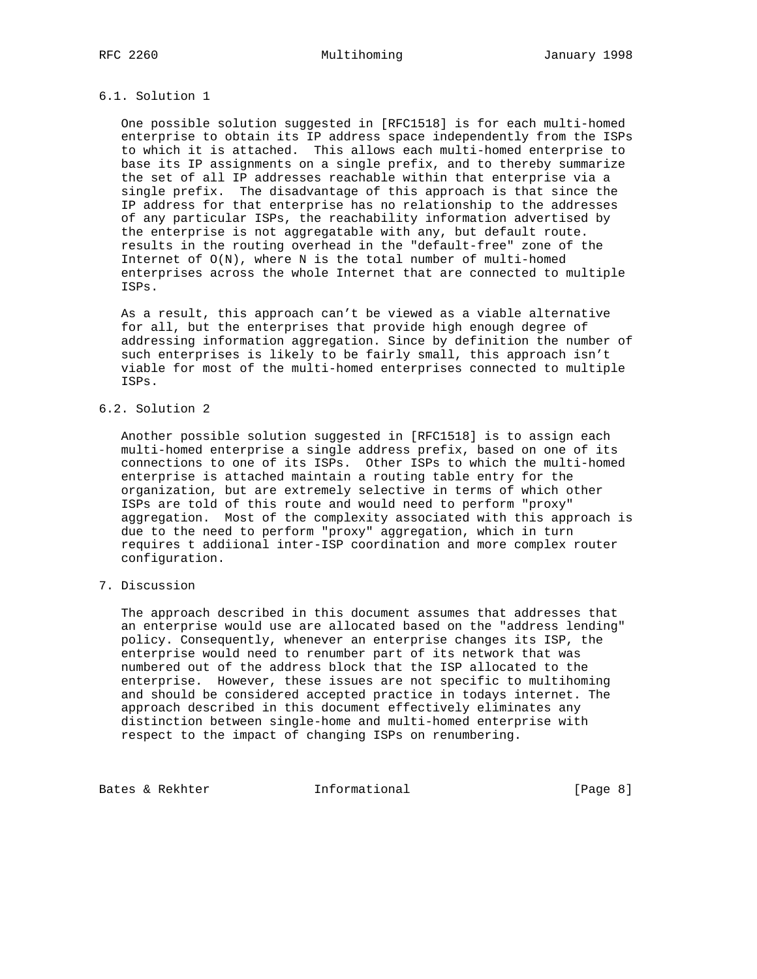# 6.1. Solution 1

 One possible solution suggested in [RFC1518] is for each multi-homed enterprise to obtain its IP address space independently from the ISPs to which it is attached. This allows each multi-homed enterprise to base its IP assignments on a single prefix, and to thereby summarize the set of all IP addresses reachable within that enterprise via a single prefix. The disadvantage of this approach is that since the IP address for that enterprise has no relationship to the addresses of any particular ISPs, the reachability information advertised by the enterprise is not aggregatable with any, but default route. results in the routing overhead in the "default-free" zone of the Internet of O(N), where N is the total number of multi-homed enterprises across the whole Internet that are connected to multiple ISPs.

 As a result, this approach can't be viewed as a viable alternative for all, but the enterprises that provide high enough degree of addressing information aggregation. Since by definition the number of such enterprises is likely to be fairly small, this approach isn't viable for most of the multi-homed enterprises connected to multiple ISPs.

## 6.2. Solution 2

 Another possible solution suggested in [RFC1518] is to assign each multi-homed enterprise a single address prefix, based on one of its connections to one of its ISPs. Other ISPs to which the multi-homed enterprise is attached maintain a routing table entry for the organization, but are extremely selective in terms of which other ISPs are told of this route and would need to perform "proxy" aggregation. Most of the complexity associated with this approach is due to the need to perform "proxy" aggregation, which in turn requires t addiional inter-ISP coordination and more complex router configuration.

# 7. Discussion

 The approach described in this document assumes that addresses that an enterprise would use are allocated based on the "address lending" policy. Consequently, whenever an enterprise changes its ISP, the enterprise would need to renumber part of its network that was numbered out of the address block that the ISP allocated to the enterprise. However, these issues are not specific to multihoming and should be considered accepted practice in todays internet. The approach described in this document effectively eliminates any distinction between single-home and multi-homed enterprise with respect to the impact of changing ISPs on renumbering.

Bates & Rekhter **Informational** [Page 8]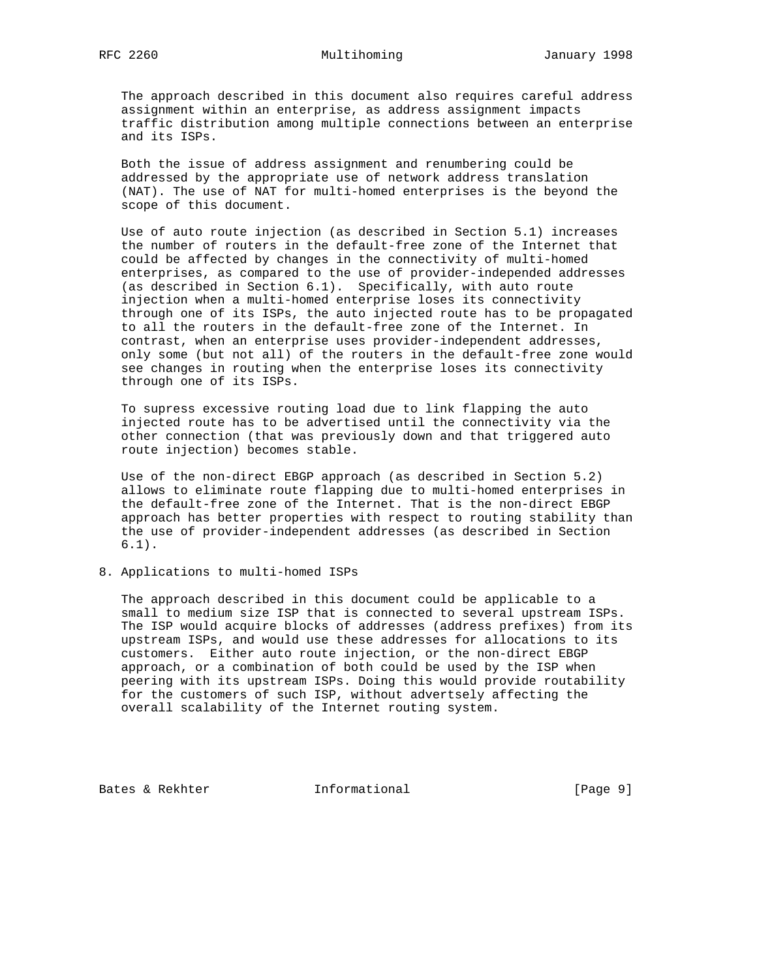The approach described in this document also requires careful address assignment within an enterprise, as address assignment impacts traffic distribution among multiple connections between an enterprise and its ISPs.

 Both the issue of address assignment and renumbering could be addressed by the appropriate use of network address translation (NAT). The use of NAT for multi-homed enterprises is the beyond the scope of this document.

 Use of auto route injection (as described in Section 5.1) increases the number of routers in the default-free zone of the Internet that could be affected by changes in the connectivity of multi-homed enterprises, as compared to the use of provider-independed addresses (as described in Section 6.1). Specifically, with auto route injection when a multi-homed enterprise loses its connectivity through one of its ISPs, the auto injected route has to be propagated to all the routers in the default-free zone of the Internet. In contrast, when an enterprise uses provider-independent addresses, only some (but not all) of the routers in the default-free zone would see changes in routing when the enterprise loses its connectivity through one of its ISPs.

 To supress excessive routing load due to link flapping the auto injected route has to be advertised until the connectivity via the other connection (that was previously down and that triggered auto route injection) becomes stable.

 Use of the non-direct EBGP approach (as described in Section 5.2) allows to eliminate route flapping due to multi-homed enterprises in the default-free zone of the Internet. That is the non-direct EBGP approach has better properties with respect to routing stability than the use of provider-independent addresses (as described in Section 6.1).

8. Applications to multi-homed ISPs

 The approach described in this document could be applicable to a small to medium size ISP that is connected to several upstream ISPs. The ISP would acquire blocks of addresses (address prefixes) from its upstream ISPs, and would use these addresses for allocations to its customers. Either auto route injection, or the non-direct EBGP approach, or a combination of both could be used by the ISP when peering with its upstream ISPs. Doing this would provide routability for the customers of such ISP, without advertsely affecting the overall scalability of the Internet routing system.

Bates & Rekhter **Informational** [Page 9]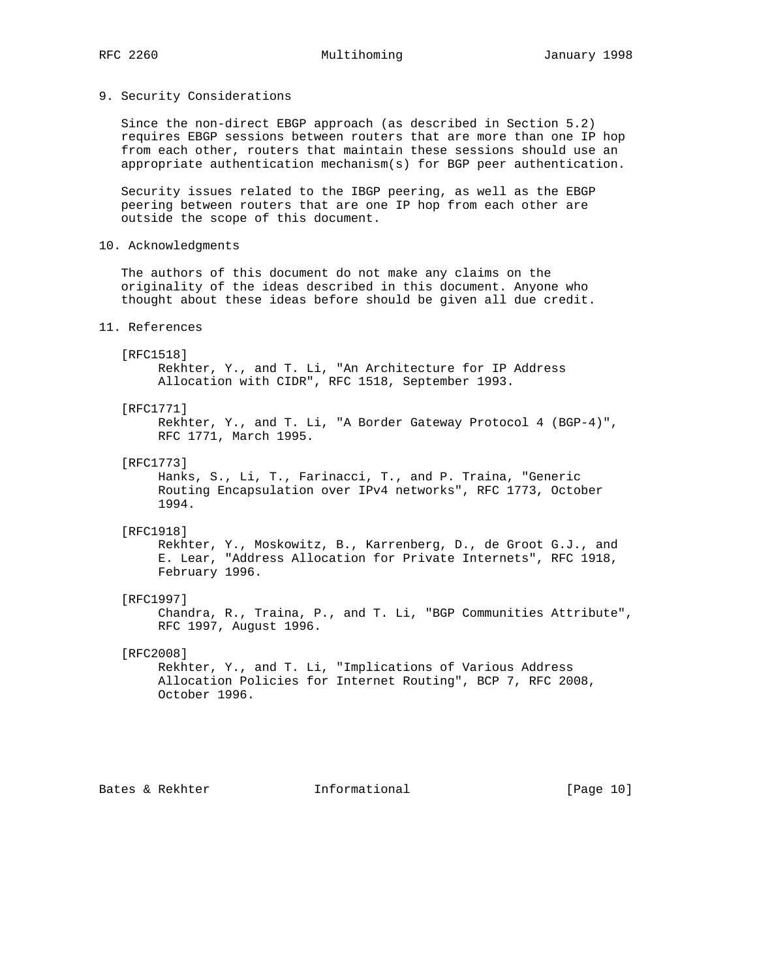## 9. Security Considerations

 Since the non-direct EBGP approach (as described in Section 5.2) requires EBGP sessions between routers that are more than one IP hop from each other, routers that maintain these sessions should use an appropriate authentication mechanism(s) for BGP peer authentication.

 Security issues related to the IBGP peering, as well as the EBGP peering between routers that are one IP hop from each other are outside the scope of this document.

10. Acknowledgments

 The authors of this document do not make any claims on the originality of the ideas described in this document. Anyone who thought about these ideas before should be given all due credit.

## 11. References

### [RFC1518]

 Rekhter, Y., and T. Li, "An Architecture for IP Address Allocation with CIDR", RFC 1518, September 1993.

## [RFC1771]

 Rekhter, Y., and T. Li, "A Border Gateway Protocol 4 (BGP-4)", RFC 1771, March 1995.

## [RFC1773]

 Hanks, S., Li, T., Farinacci, T., and P. Traina, "Generic Routing Encapsulation over IPv4 networks", RFC 1773, October 1994.

## [RFC1918]

 Rekhter, Y., Moskowitz, B., Karrenberg, D., de Groot G.J., and E. Lear, "Address Allocation for Private Internets", RFC 1918, February 1996.

### [RFC1997]

 Chandra, R., Traina, P., and T. Li, "BGP Communities Attribute", RFC 1997, August 1996.

## [RFC2008]

 Rekhter, Y., and T. Li, "Implications of Various Address Allocation Policies for Internet Routing", BCP 7, RFC 2008, October 1996.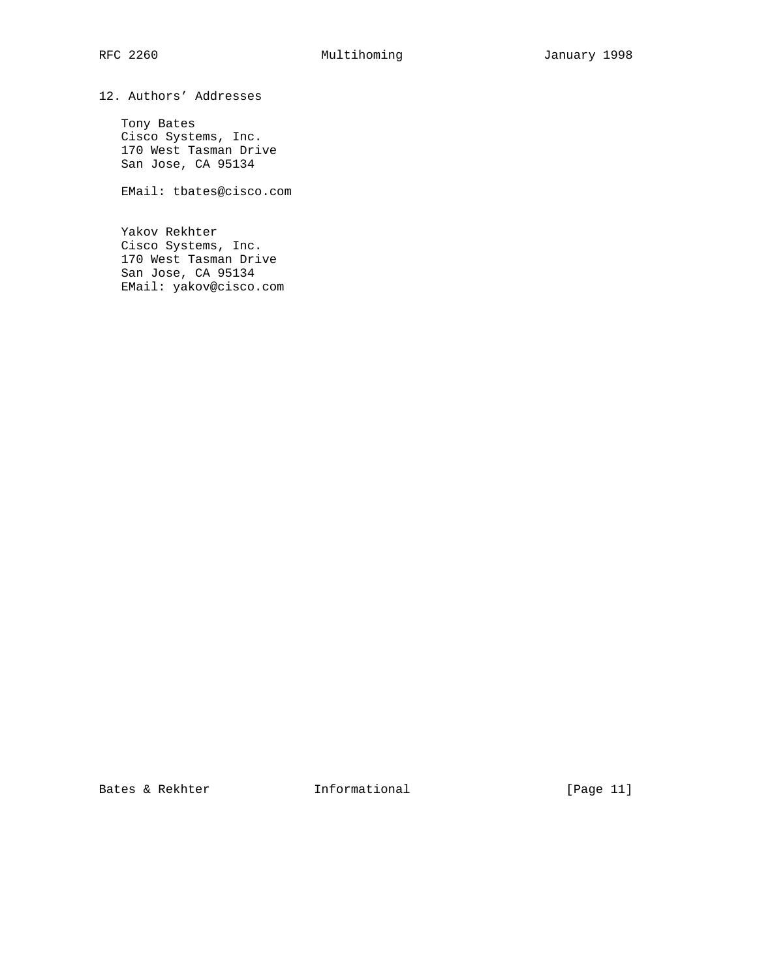12. Authors' Addresses

 Tony Bates Cisco Systems, Inc. 170 West Tasman Drive San Jose, CA 95134

EMail: tbates@cisco.com

 Yakov Rekhter Cisco Systems, Inc. 170 West Tasman Drive San Jose, CA 95134 EMail: yakov@cisco.com